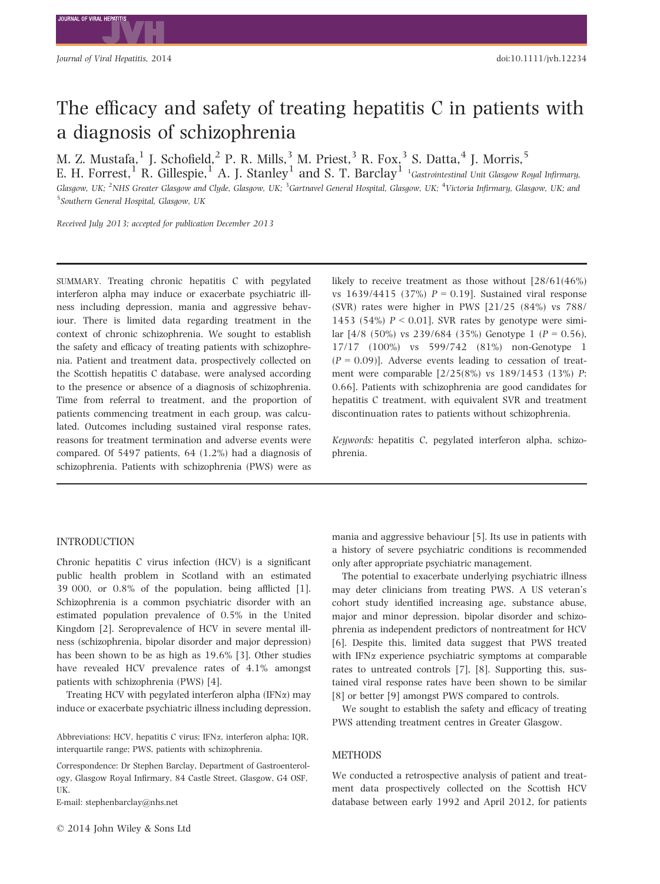# The efficacy and safety of treating hepatitis C in patients with a diagnosis of schizophrenia

M. Z. Mustafa,<sup>1</sup> J. Schofield,<sup>2</sup> P. R. Mills,<sup>3</sup> M. Priest,<sup>3</sup> R. Fox,<sup>3</sup> S. Datta,<sup>4</sup> J. Morris,<sup>5</sup>

E. H. Forrest,  $^1$  R. Gillespie,  $^1$  A. J. Stanley  $^1$  and S. T. Barclay  $^1$  <sup>1</sup>Gastrointestinal Unit Glasgow Royal Infirmary, Glasgow, UK; <sup>2</sup>NHS Greater Glasgow and Clyde, Glasgow, UK; <sup>3</sup>Gartnavel General Hospital, Glasgow, UK; <sup>4</sup>Victoria Infirmary, Glasgow, UK; and 5 Southern General Hospital, Glasgow, UK

Received July 2013; accepted for publication December 2013

SUMMARY. Treating chronic hepatitis C with pegylated interferon alpha may induce or exacerbate psychiatric illness including depression, mania and aggressive behaviour. There is limited data regarding treatment in the context of chronic schizophrenia. We sought to establish the safety and efficacy of treating patients with schizophrenia. Patient and treatment data, prospectively collected on the Scottish hepatitis C database, were analysed according to the presence or absence of a diagnosis of schizophrenia. Time from referral to treatment, and the proportion of patients commencing treatment in each group, was calculated. Outcomes including sustained viral response rates, reasons for treatment termination and adverse events were compared. Of 5497 patients, 64 (1.2%) had a diagnosis of schizophrenia. Patients with schizophrenia (PWS) were as

## INTRODUCTION

Chronic hepatitis C virus infection (HCV) is a significant public health problem in Scotland with an estimated 39 000, or 0.8% of the population, being afflicted [1]. Schizophrenia is a common psychiatric disorder with an estimated population prevalence of 0.5% in the United Kingdom [2]. Seroprevalence of HCV in severe mental illness (schizophrenia, bipolar disorder and major depression) has been shown to be as high as 19.6% [3]. Other studies have revealed HCV prevalence rates of 4.1% amongst patients with schizophrenia (PWS) [4].

Treating HCV with pegylated interferon alpha (IFN $\alpha$ ) may induce or exacerbate psychiatric illness including depression,

Abbreviations: HCV, hepatitis C virus; IFN $\alpha$ , interferon alpha; IQR, interquartile range; PWS, patients with schizophrenia.

Correspondence: Dr Stephen Barclay, Department of Gastroenterology, Glasgow Royal Infirmary, 84 Castle Street, Glasgow, G4 OSF, UK.

E-mail: stephenbarclay@nhs.net

likely to receive treatment as those without [28/61(46%) vs  $1639/4415$  (37%)  $P = 0.19$ . Sustained viral response (SVR) rates were higher in PWS [21/25 (84%) vs 788/ 1453 (54%)  $P \le 0.01$ . SVR rates by genotype were similar  $[4/8 (50\%)$  vs 239/684 (35%) Genotype 1 (P = 0.56), 17/17 (100%) vs 599/742 (81%) non-Genotype 1  $(P = 0.09)$ ]. Adverse events leading to cessation of treatment were comparable [2/25(8%) vs 189/1453 (13%) P: 0.66]. Patients with schizophrenia are good candidates for hepatitis C treatment, with equivalent SVR and treatment discontinuation rates to patients without schizophrenia.

Keywords: hepatitis C, pegylated interferon alpha, schizophrenia.

mania and aggressive behaviour [5]. Its use in patients with a history of severe psychiatric conditions is recommended only after appropriate psychiatric management.

The potential to exacerbate underlying psychiatric illness may deter clinicians from treating PWS. A US veteran's cohort study identified increasing age, substance abuse, major and minor depression, bipolar disorder and schizophrenia as independent predictors of nontreatment for HCV [6]. Despite this, limited data suggest that PWS treated with IFN $\alpha$  experience psychiatric symptoms at comparable rates to untreated controls [7], [8]. Supporting this, sustained viral response rates have been shown to be similar [8] or better [9] amongst PWS compared to controls.

We sought to establish the safety and efficacy of treating PWS attending treatment centres in Greater Glasgow.

## **METHODS**

We conducted a retrospective analysis of patient and treatment data prospectively collected on the Scottish HCV database between early 1992 and April 2012, for patients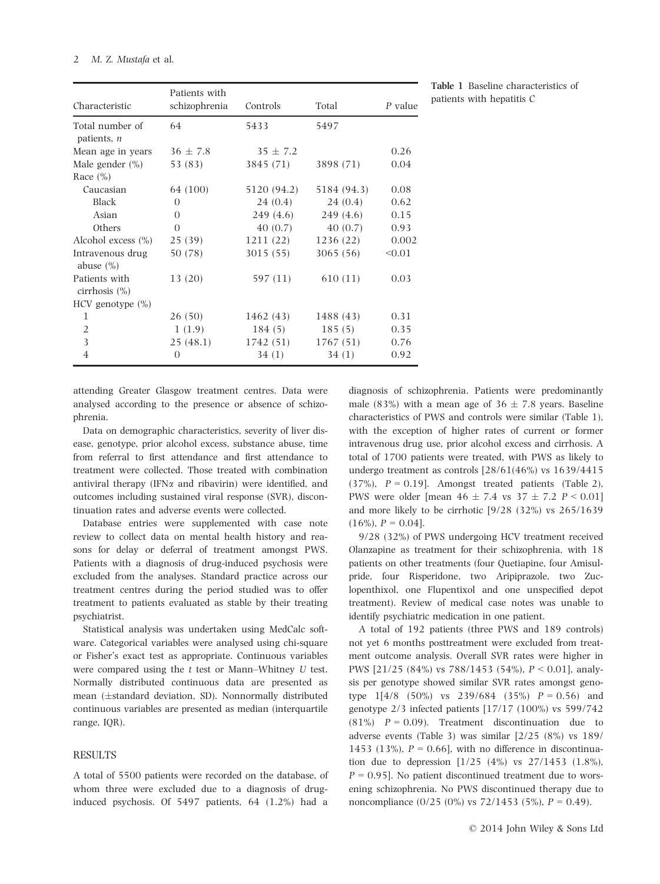| Characteristic                     | Patients with<br>schizophrenia | Controls     | Total       | P value |
|------------------------------------|--------------------------------|--------------|-------------|---------|
|                                    |                                |              |             |         |
| Total number of<br>patients, $n$   | 64                             | 5433         | 5497        |         |
| Mean age in years                  | $36 \pm 7.8$                   | $35 \pm 7.2$ |             | 0.26    |
| Male gender $(\% )$                | 53 (83)                        | 3845 (71)    | 3898 (71)   | 0.04    |
| Race $(\% )$                       |                                |              |             |         |
| Caucasian                          | 64 (100)                       | 5120 (94.2)  | 5184 (94.3) | 0.08    |
| Black                              | $\Omega$                       | 24(0.4)      | 24(0.4)     | 0.62    |
| Asian                              | $\Omega$                       | 249 (4.6)    | 249(4.6)    | 0.15    |
| Others                             | $\theta$                       | 40(0.7)      | 40(0.7)     | 0.93    |
| Alcohol excess $(\% )$             | 25(39)                         | 1211 (22)    | 1236 (22)   | 0.002   |
| Intravenous drug<br>abuse $(\% )$  | 50 (78)                        | 3015(55)     | 3065(56)    | < 0.01  |
| Patients with<br>cirrhosis $(\% )$ | 13 (20)                        | 597 (11)     | 610(11)     | 0.03    |
| $HCV$ genotype $(\% )$             |                                |              |             |         |
| 1                                  | 26(50)                         | 1462 (43)    | 1488 (43)   | 0.31    |
| 2                                  | 1(1.9)                         | 184(5)       | 185(5)      | 0.35    |
| 3                                  | 25(48.1)                       | 1742 (51)    | 1767 (51)   | 0.76    |
| 4                                  | $\theta$                       | 34 (1)       | 34(1)       | 0.92    |

Table 1 Baseline characteristics of patients with hepatitis C

attending Greater Glasgow treatment centres. Data were analysed according to the presence or absence of schizophrenia.

Data on demographic characteristics, severity of liver disease, genotype, prior alcohol excess, substance abuse, time from referral to first attendance and first attendance to treatment were collected. Those treated with combination antiviral therapy (IFN $\alpha$  and ribavirin) were identified, and outcomes including sustained viral response (SVR), discontinuation rates and adverse events were collected.

Database entries were supplemented with case note review to collect data on mental health history and reasons for delay or deferral of treatment amongst PWS. Patients with a diagnosis of drug-induced psychosis were excluded from the analyses. Standard practice across our treatment centres during the period studied was to offer treatment to patients evaluated as stable by their treating psychiatrist.

Statistical analysis was undertaken using MedCalc software. Categorical variables were analysed using chi-square or Fisher's exact test as appropriate. Continuous variables were compared using the t test or Mann–Whitney U test. Normally distributed continuous data are presented as mean ( $\pm$ standard deviation, SD). Nonnormally distributed continuous variables are presented as median (interquartile range, IQR).

## RESULTS

A total of 5500 patients were recorded on the database, of whom three were excluded due to a diagnosis of druginduced psychosis. Of 5497 patients, 64 (1.2%) had a

diagnosis of schizophrenia. Patients were predominantly male (83%) with a mean age of  $36 \pm 7.8$  years. Baseline characteristics of PWS and controls were similar (Table 1), with the exception of higher rates of current or former intravenous drug use, prior alcohol excess and cirrhosis. A total of 1700 patients were treated, with PWS as likely to undergo treatment as controls [28/61(46%) vs 1639/4415  $(37\%)$ ,  $P = 0.19$ ]. Amongst treated patients (Table 2), PWS were older [mean  $46 \pm 7.4$  vs  $37 \pm 7.2$  P < 0.01] and more likely to be cirrhotic [9/28 (32%) vs 265/1639  $(16\%)$ ,  $P = 0.04$ ].

9/28 (32%) of PWS undergoing HCV treatment received Olanzapine as treatment for their schizophrenia, with 18 patients on other treatments (four Quetiapine, four Amisulpride, four Risperidone, two Aripiprazole, two Zuclopenthixol, one Flupentixol and one unspecified depot treatment). Review of medical case notes was unable to identify psychiatric medication in one patient.

A total of 192 patients (three PWS and 189 controls) not yet 6 months posttreatment were excluded from treatment outcome analysis. Overall SVR rates were higher in PWS [21/25 (84%) vs 788/1453 (54%), P < 0.01], analysis per genotype showed similar SVR rates amongst genotype  $1[4/8 (50\%)$  vs  $239/684 (35\%) P = 0.56$  and genotype 2/3 infected patients [17/17 (100%) vs 599/742  $(81\%)$   $P = 0.09$ ). Treatment discontinuation due to adverse events (Table 3) was similar [2/25 (8%) vs 189/ 1453 (13%),  $P = 0.66$ ], with no difference in discontinuation due to depression [1/25 (4%) vs 27/1453 (1.8%),  $P = 0.95$ ]. No patient discontinued treatment due to worsening schizophrenia. No PWS discontinued therapy due to noncompliance  $(0/25 (0\%)$  vs  $72/1453 (5\%). P = 0.49$ .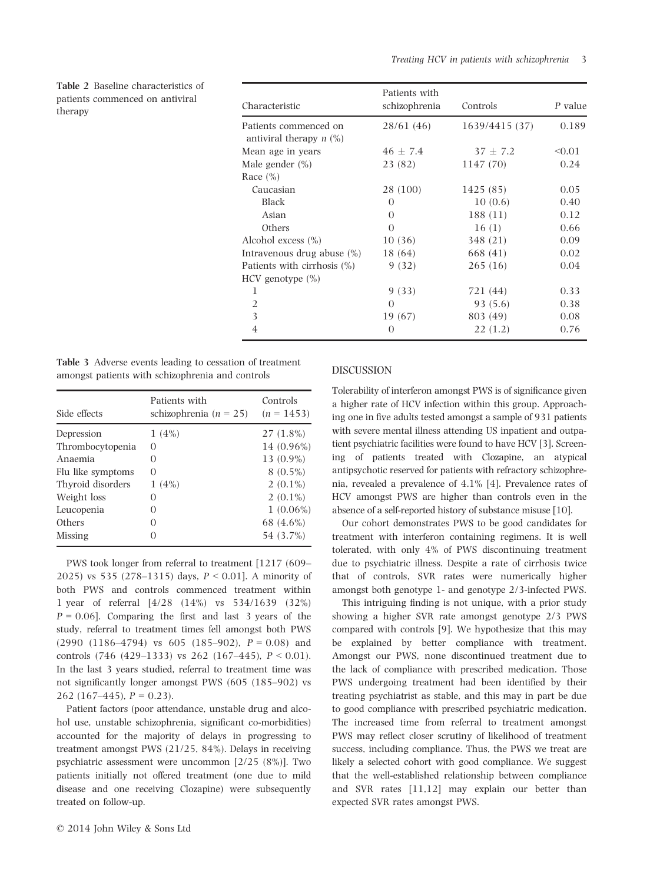Table 2 Baseline characteristics of patients commenced on antiviral therapy Characteristic

| Characteristic              | Patients with<br>schizophrenia | Controls       | P value |
|-----------------------------|--------------------------------|----------------|---------|
| Patients commenced on       | 28/61(46)                      | 1639/4415 (37) | 0.189   |
| antiviral therapy $n$ (%)   |                                |                |         |
| Mean age in years           | $46 \pm 7.4$                   | $37 \pm 7.2$   | < 0.01  |
| Male gender (%)             | 23 (82)                        | 1147 (70)      | 0.24    |
| Race $(\% )$                |                                |                |         |
| Caucasian                   | 28 (100)                       | 1425 (85)      | 0.05    |
| <b>Black</b>                | 0                              | 10(0.6)        | 0.40    |
| Asian                       | $\Omega$                       | 188 (11)       | 0.12    |
| Others                      | $\Omega$                       | 16(1)          | 0.66    |
| Alcohol excess (%)          | 10(36)                         | 348 (21)       | 0.09    |
| Intravenous drug abuse (%)  | 18 (64)                        | 668 (41)       | 0.02    |
| Patients with cirrhosis (%) | 9(32)                          | 265(16)        | 0.04    |
| $HCV$ genotype $(\% )$      |                                |                |         |
| 1                           | 9(33)                          | 721 (44)       | 0.33    |
| $\overline{2}$              | $\Omega$                       | 93(5.6)        | 0.38    |
| 3                           | 19 (67)                        | 803 (49)       | 0.08    |
| $\overline{4}$              | $\Omega$                       | 22(1.2)        | 0.76    |

Table 3 Adverse events leading to cessation of treatment amongst patients with schizophrenia and controls

| Side effects      | Patients with<br>schizophrenia ( $n = 25$ ) | Controls<br>$(n = 1453)$ |
|-------------------|---------------------------------------------|--------------------------|
| Depression        | 1(4%)                                       | $27(1.8\%)$              |
| Thrombocytopenia  | O                                           | 14 (0.96%)               |
| Anaemia           | 0                                           | 13 (0.9%)                |
| Flu like symptoms | 0                                           | $8(0.5\%)$               |
| Thyroid disorders | 1(4%)                                       | $2(0.1\%)$               |
| Weight loss       | $\left( \right)$                            | $2(0.1\%)$               |
| Leucopenia        | 0                                           | $1(0.06\%)$              |
| Others            | 0                                           | 68 (4.6%)                |
| Missing           | $\mathcal{O}$                               | 54 (3.7%)                |

PWS took longer from referral to treatment [1217 (609– 2025) vs 535 (278–1315) days,  $P < 0.01$ . A minority of both PWS and controls commenced treatment within 1 year of referral [4/28 (14%) vs 534/1639 (32%)  $P = 0.06$ . Comparing the first and last 3 years of the study, referral to treatment times fell amongst both PWS  $(2990 (1186-4794)$  vs 605  $(185-902)$ ,  $P = 0.08$  and controls (746 (429–1333) vs 262 (167–445),  $P < 0.01$ ). In the last 3 years studied, referral to treatment time was not significantly longer amongst PWS (605 (185–902) vs 262 (167–445),  $P = 0.23$ ).

Patient factors (poor attendance, unstable drug and alcohol use, unstable schizophrenia, significant co-morbidities) accounted for the majority of delays in progressing to treatment amongst PWS (21/25, 84%). Delays in receiving psychiatric assessment were uncommon [2/25 (8%)]. Two patients initially not offered treatment (one due to mild disease and one receiving Clozapine) were subsequently treated on follow-up.

#### DISCUSSION

Tolerability of interferon amongst PWS is of significance given a higher rate of HCV infection within this group. Approaching one in five adults tested amongst a sample of 931 patients with severe mental illness attending US inpatient and outpatient psychiatric facilities were found to have HCV [3]. Screening of patients treated with Clozapine, an atypical antipsychotic reserved for patients with refractory schizophrenia, revealed a prevalence of 4.1% [4]. Prevalence rates of HCV amongst PWS are higher than controls even in the absence of a self-reported history of substance misuse [10].

Our cohort demonstrates PWS to be good candidates for treatment with interferon containing regimens. It is well tolerated, with only 4% of PWS discontinuing treatment due to psychiatric illness. Despite a rate of cirrhosis twice that of controls, SVR rates were numerically higher amongst both genotype 1- and genotype 2/3-infected PWS.

This intriguing finding is not unique, with a prior study showing a higher SVR rate amongst genotype 2/3 PWS compared with controls [9]. We hypothesize that this may be explained by better compliance with treatment. Amongst our PWS, none discontinued treatment due to the lack of compliance with prescribed medication. Those PWS undergoing treatment had been identified by their treating psychiatrist as stable, and this may in part be due to good compliance with prescribed psychiatric medication. The increased time from referral to treatment amongst PWS may reflect closer scrutiny of likelihood of treatment success, including compliance. Thus, the PWS we treat are likely a selected cohort with good compliance. We suggest that the well-established relationship between compliance and SVR rates [11,12] may explain our better than expected SVR rates amongst PWS.